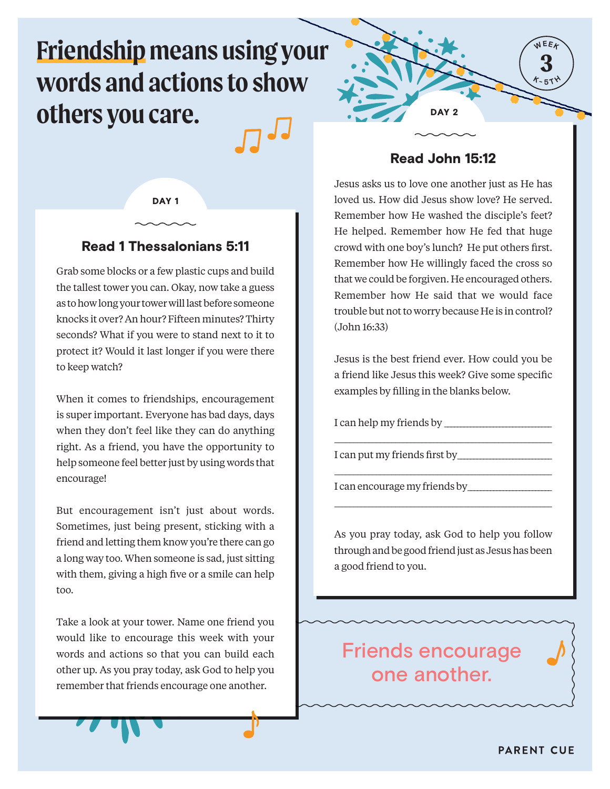# **Friendship means using your words and actions to show others you care.**

DAY<sub>1</sub>

## Read 1 Thessalonians 5:11

Grab some blocks or a few plastic cups and build the tallest tower you can. Okay, now take a guess as to how long your tower will last before someone knocks it over? An hour? Fifteen minutes? Thirty seconds? What if you were to stand next to it to protect it? Would it last longer if you were there to keep watch?

When it comes to friendships, encouragement is super important. Everyone has bad days, days when they don't feel like they can do anything right. As a friend, you have the opportunity to help someone feel better just by using words that encourage!

But encouragement isn't just about words. Sometimes, just being present, sticking with a friend and letting them know you're there can go a long way too. When someone is sad, just sitting with them, giving a high five or a smile can help too.

Take a look at your tower. Name one friend you would like to encourage this week with your words and actions so that you can build each other up. As you pray today, ask God to help you remember that friends encourage one another.



## Read John 15:12

Jesus asks us to love one another just as He has loved us. How did Jesus show love? He served. Remember how He washed the disciple's feet? He helped. Remember how He fed that huge crowd with one boy's lunch? He put others first. Remember how He willingly faced the cross so that we could be forgiven. He encouraged others. Remember how He said that we would face trouble but not to worry because He is in control? (John 16:33)

Jesus is the best friend ever. How could you be a friend like Jesus this week? Give some specific examples by filling in the blanks below.

I can help my friends by \_\_\_\_\_\_\_\_\_\_\_\_\_\_\_\_\_\_\_\_\_\_\_\_\_\_\_\_\_\_\_\_\_

\_\_\_\_\_\_\_\_\_\_\_\_\_\_\_\_\_\_\_\_\_\_\_\_\_\_\_\_\_\_\_\_\_\_\_\_\_\_\_\_\_\_\_\_\_\_\_\_\_\_\_\_\_\_\_\_\_

\_\_\_\_\_\_\_\_\_\_\_\_\_\_\_\_\_\_\_\_\_\_\_\_\_\_\_\_\_\_\_\_\_\_\_\_\_\_\_\_\_\_\_\_\_\_\_\_\_\_\_\_\_\_\_\_\_

\_\_\_\_\_\_\_\_\_\_\_\_\_\_\_\_\_\_\_\_\_\_\_\_\_\_\_\_\_\_\_\_\_\_\_\_\_\_\_\_\_\_\_\_\_\_\_\_\_\_\_\_\_\_\_\_\_

I can put my friends first by

I can encourage my friends by\_\_\_\_\_\_\_\_\_\_\_\_\_\_\_\_\_\_\_\_\_\_\_\_\_\_

As you pray today, ask God to help you follow through and be good friend just as Jesus has been a good friend to you.

Friends encourage one another.